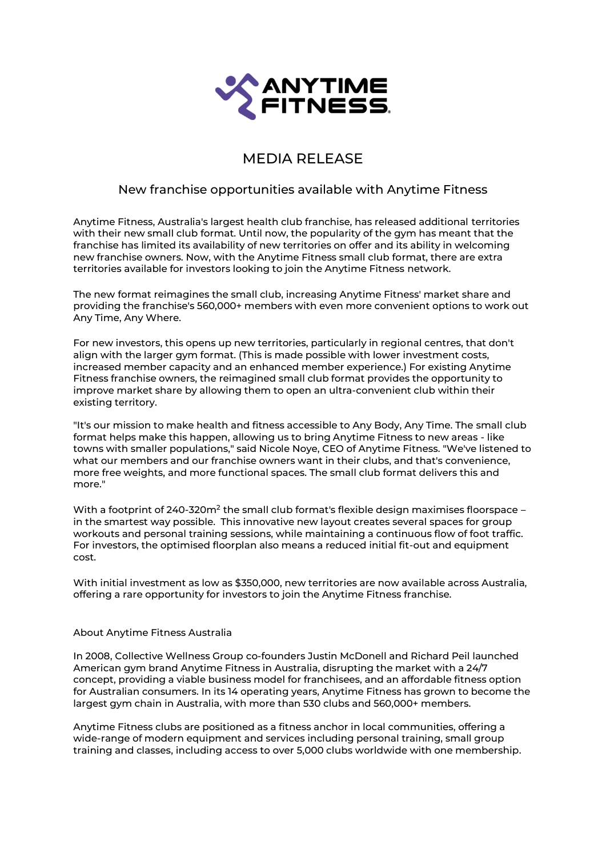

## MEDIA RELEASE

## New franchise opportunities available with Anytime Fitness

Anytime Fitness, Australia's largest health club franchise, has released additional territories with their new small club format. Until now, the popularity of the gym has meant that the franchise has limited its availability of new territories on offer and its ability in welcoming new franchise owners. Now, with the Anytime Fitness small club format, there are extra territories available for investors looking to join the Anytime Fitness network.

The new format reimagines the small club, increasing Anytime Fitness' market share and providing the franchise's 560,000+ members with even more convenient options to work out Any Time, Any Where.

For new investors, this opens up new territories, particularly in regional centres, that don't align with the larger gym format. (This is made possible with lower investment costs, increased member capacity and an enhanced member experience.) For existing Anytime Fitness franchise owners, the reimagined small club format provides the opportunity to improve market share by allowing them to open an ultra-convenient club within their existing territory.

"It's our mission to make health and fitness accessible to Any Body, Any Time. The small club format helps make this happen, allowing us to bring Anytime Fitness to new areas - like towns with smaller populations," said Nicole Noye, CEO of Anytime Fitness. "We've listened to what our members and our franchise owners want in their clubs, and that's convenience, more free weights, and more functional spaces. The small club format delivers this and more."

With a footprint of 240-320 $\mathsf{m}^2$  the small club format's flexible design maximises floorspace in the smartest way possible. This innovative new layout creates several spaces for group workouts and personal training sessions, while maintaining a continuous flow of foot traffic. For investors, the optimised floorplan also means a reduced initial fit-out and equipment cost.

With initial investment as low as \$350,000, new territories are now available across Australia, offering a rare opportunity for investors to join the Anytime Fitness franchise.

## About Anytime Fitness Australia

In 2008, Collective Wellness Group co-founders Justin McDonell and Richard Peil launched American gym brand Anytime Fitness in Australia, disrupting the market with a 24/7 concept, providing a viable business model for franchisees, and an affordable fitness option for Australian consumers. In its 14 operating years, Anytime Fitness has grown to become the largest gym chain in Australia, with more than 530 clubs and 560,000+ members.

Anytime Fitness clubs are positioned as a fitness anchor in local communities, offering a wide-range of modern equipment and services including personal training, small group training and classes, including access to over 5,000 clubs worldwide with one membership.